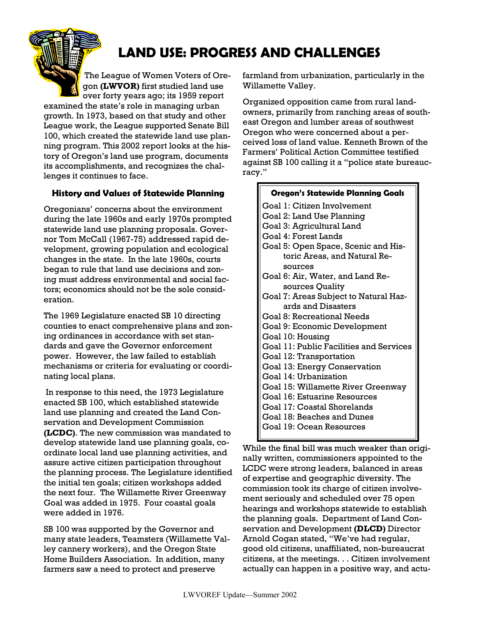# **LAND USE: PROGRESS AND CHALLENGES**

The League of Women Voters of Oregon **(LWVOR)** first studied land use over forty years ago; its 1959 report

examined the state's role in managing urban growth. In 1973, based on that study and other League work, the League supported Senate Bill 100, which created the statewide land use planning program. This 2002 report looks at the history of Oregon's land use program, documents its accomplishments, and recognizes the challenges it continues to face.

### **History and Values of Statewide Planning**

Oregonians' concerns about the environment during the late 1960s and early 1970s prompted statewide land use planning proposals. Governor Tom McCall (1967-75) addressed rapid development, growing population and ecological changes in the state. In the late 1960s, courts began to rule that land use decisions and zoning must address environmental and social factors; economics should not be the sole consideration.

The 1969 Legislature enacted SB 10 directing counties to enact comprehensive plans and zoning ordinances in accordance with set standards and gave the Governor enforcement power. However, the law failed to establish mechanisms or criteria for evaluating or coordinating local plans.

 In response to this need, the 1973 Legislature enacted SB 100, which established statewide land use planning and created the Land Conservation and Development Commission **(LCDC)**. The new commission was mandated to develop statewide land use planning goals, coordinate local land use planning activities, and assure active citizen participation throughout the planning process. The Legislature identified the initial ten goals; citizen workshops added the next four. The Willamette River Greenway Goal was added in 1975. Four coastal goals were added in 1976.

SB 100 was supported by the Governor and many state leaders, Teamsters (Willamette Valley cannery workers), and the Oregon State Home Builders Association. In addition, many farmers saw a need to protect and preserve

farmland from urbanization, particularly in the Willamette Valley.

Organized opposition came from rural landowners, primarily from ranching areas of southeast Oregon and lumber areas of southwest Oregon who were concerned about a perceived loss of land value. Kenneth Brown of the Farmers' Political Action Committee testified against SB 100 calling it a "police state bureaucracy."

7

| <b>Oregon's Statewide Planning Goals</b> |
|------------------------------------------|
| Goal 1: Citizen Involvement              |
| Goal 2: Land Use Planning                |
| Goal 3: Agricultural Land                |
| Goal 4: Forest Lands                     |
| Goal 5: Open Space, Scenic and His-      |
| toric Areas, and Natural Re-             |
| sources                                  |
| Goal 6: Air, Water, and Land Re-         |
| sources Quality                          |
| Goal 7: Areas Subject to Natural Haz-    |
| ards and Disasters                       |
| Goal 8: Recreational Needs               |
| Goal 9: Economic Development             |
| Goal 10: Housing                         |
| Goal 11: Public Facilities and Services  |
| Goal 12: Transportation                  |
| Goal 13: Energy Conservation             |
| Goal 14: Urbanization                    |
| Goal 15: Willamette River Greenway       |
| Goal 16: Estuarine Resources             |
| Goal 17: Coastal Shorelands              |
| Goal 18: Beaches and Dunes               |
| Goal 19: Ocean Resources                 |
|                                          |

While the final bill was much weaker than originally written, commissioners appointed to the LCDC were strong leaders, balanced in areas of expertise and geographic diversity. The commission took its charge of citizen involvement seriously and scheduled over 75 open hearings and workshops statewide to establish the planning goals. Department of Land Conservation and Development **(DLCD)** Director Arnold Cogan stated, "We've had regular, good old citizens, unaffiliated, non-bureaucrat citizens, at the meetings. . . Citizen involvement actually can happen in a positive way, and actu-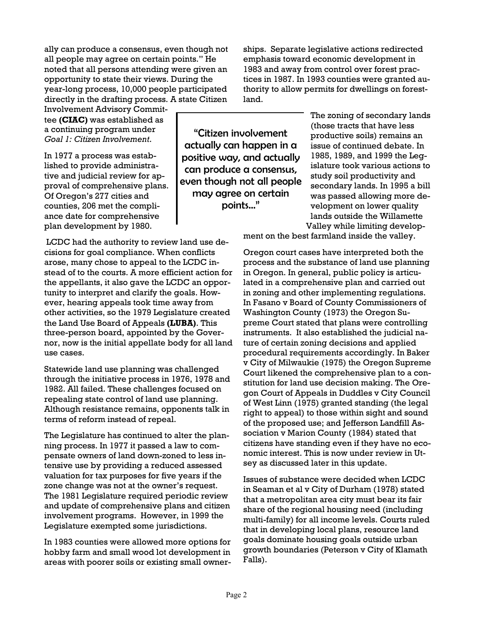ally can produce a consensus, even though not all people may agree on certain points." He noted that all persons attending were given an opportunity to state their views. During the year-long process, 10,000 people participated directly in the drafting process. A state Citizen

Involvement Advisory Committee **(CIAC)** was established as a continuing program under *Goal 1: Citizen Involvement*.

In 1977 a process was established to provide administrative and judicial review for approval of comprehensive plans. Of Oregon's 277 cities and counties, 206 met the compliance date for comprehensive plan development by 1980.

 LCDC had the authority to review land use decisions for goal compliance. When conflicts arose, many chose to appeal to the LCDC instead of to the courts. A more efficient action for the appellants, it also gave the LCDC an opportunity to interpret and clarify the goals. However, hearing appeals took time away from other activities, so the 1979 Legislature created the Land Use Board of Appeals **(LUBA)**. This three-person board, appointed by the Governor, now is the initial appellate body for all land use cases.

Statewide land use planning was challenged through the initiative process in 1976, 1978 and 1982. All failed. These challenges focused on repealing state control of land use planning. Although resistance remains, opponents talk in terms of reform instead of repeal.

The Legislature has continued to alter the planning process. In 1977 it passed a law to compensate owners of land down-zoned to less intensive use by providing a reduced assessed valuation for tax purposes for five years if the zone change was not at the owner's request. The 1981 Legislature required periodic review and update of comprehensive plans and citizen involvement programs. However, in 1999 the Legislature exempted some jurisdictions.

In 1983 counties were allowed more options for hobby farm and small wood lot development in areas with poorer soils or existing small owner-

"Citizen involvement actually can happen in a positive way, and actually can produce a consensus, even though not all people may agree on certain points…"

ships. Separate legislative actions redirected emphasis toward economic development in 1983 and away from control over forest practices in 1987. In 1993 counties were granted authority to allow permits for dwellings on forestland.

> The zoning of secondary lands (those tracts that have less productive soils) remains an issue of continued debate. In 1985, 1989, and 1999 the Legislature took various actions to study soil productivity and secondary lands. In 1995 a bill was passed allowing more development on lower quality lands outside the Willamette Valley while limiting develop-

ment on the best farmland inside the valley.

Oregon court cases have interpreted both the process and the substance of land use planning in Oregon. In general, public policy is articulated in a comprehensive plan and carried out in zoning and other implementing regulations. In Fasano v Board of County Commissioners of Washington County (1973) the Oregon Supreme Court stated that plans were controlling instruments. It also established the judicial nature of certain zoning decisions and applied procedural requirements accordingly. In Baker v City of Milwaukie (1975) the Oregon Supreme Court likened the comprehensive plan to a constitution for land use decision making. The Oregon Court of Appeals in Duddles v City Council of West Linn (1975) granted standing (the legal right to appeal) to those within sight and sound of the proposed use; and Jefferson Landfill Association v Marion County (1984) stated that citizens have standing even if they have no economic interest. This is now under review in Utsey as discussed later in this update.

Issues of substance were decided when LCDC in Seaman et al v City of Durham (1978) stated that a metropolitan area city must bear its fair share of the regional housing need (including multi-family) for all income levels. Courts ruled that in developing local plans, resource land goals dominate housing goals outside urban growth boundaries (Peterson v City of Klamath Falls).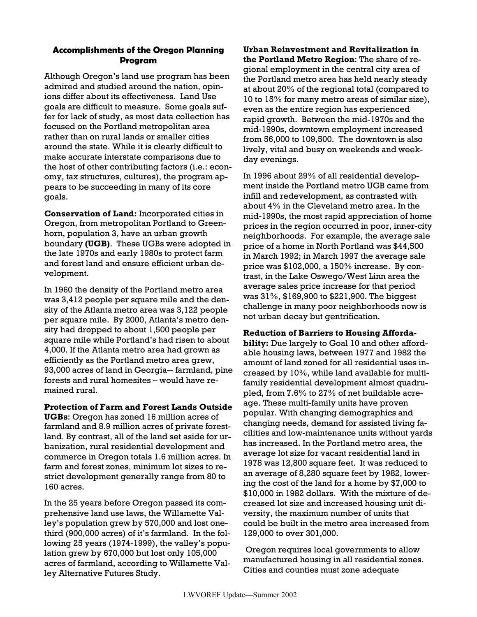## **Accomplishments of the Oregon Planning Program**

Although Oregon's land use program has been admired and studied around the nation, opinions differ about its effectiveness. Land Use goals are difficult to measure. Some goals suffer for lack of study, as most data collection has focused on the Portland metropolitan area rather than on rural lands or smaller cities around the state. While it is clearly difficult to make accurate interstate comparisons due to the host of other contributing factors (i.e.: economy, tax structures, cultures), the program appears to be succeeding in many of its core goals.

**Conservation of Land:** Incorporated cities in Oregon, from metropolitan Portland to Greenhorn, population 3, have an urban growth boundary **(UGB)**. These UGBs were adopted in the late 1970s and early 1980s to protect farm and forest land and ensure efficient urban development.

In 1960 the density of the Portland metro area was 3,412 people per square mile and the density of the Atlanta metro area was 3,122 people per square mile. By 2000, Atlanta's metro density had dropped to about 1,500 people per square mile while Portland's had risen to about 4,000. If the Atlanta metro area had grown as efficiently as the Portland metro area grew, 93,000 acres of land in Georgia-- farmland, pine forests and rural homesites – would have remained rural.

**Protection of Farm and Forest Lands Outside UGBs**: Oregon has zoned 16 million acres of farmland and 8.9 million acres of private forestland. By contrast, all of the land set aside for urbanization, rural residential development and commerce in Oregon totals 1.6 million acres. In farm and forest zones, minimum lot sizes to restrict development generally range from 80 to 160 acres.

In the 25 years before Oregon passed its comprehensive land use laws, the Willamette Valley's population grew by 570,000 and lost onethird (900,000 acres) of it's farmland. In the following 25 years (1974-1999), the valley's population grew by 670,000 but lost only 105,000 acres of farmland, according to Willamette Valley Alternative Futures Study.

**Urban Reinvestment and Revitalization in the Portland Metro Region**: The share of regional employment in the central city area of the Portland metro area has held nearly steady at about 20% of the regional total (compared to 10 to 15% for many metro areas of similar size), even as the entire region has experienced rapid growth. Between the mid-1970s and the mid-1990s, downtown employment increased from 56,000 to 109,500. The downtown is also lively, vital and busy on weekends and weekday evenings.

In 1996 about 29% of all residential development inside the Portland metro UGB came from infill and redevelopment, as contrasted with about 4% in the Cleveland metro area. In the mid-1990s, the most rapid appreciation of home prices in the region occurred in poor, inner-city neighborhoods. For example, the average sale price of a home in North Portland was \$44,500 in March 1992; in March 1997 the average sale price was \$102,000, a 150% increase. By contrast, in the Lake Oswego/West Linn area the average sales price increase for that period was 31%, \$169,900 to \$221,900. The biggest challenge in many poor neighborhoods now is not urban decay but gentrification.

### **Reduction of Barriers to Housing Afforda-**

**bility:** Due largely to Goal 10 and other affordable housing laws, between 1977 and 1982 the amount of land zoned for all residential uses increased by 10%, while land available for multifamily residential development almost quadrupled, from 7.6% to 27% of net buildable acreage. These multi-family units have proven popular. With changing demographics and changing needs, demand for assisted living facilities and low-maintenance units without yards has increased. In the Portland metro area, the average lot size for vacant residential land in 1978 was 12,800 square feet. It was reduced to an average of 8,280 square feet by 1982, lowering the cost of the land for a home by \$7,000 to \$10,000 in 1982 dollars. With the mixture of decreased lot size and increased housing unit diversity, the maximum number of units that could be built in the metro area increased from 129,000 to over 301,000.

Oregon requires local governments to allow manufactured housing in all residential zones. Cities and counties must zone adequate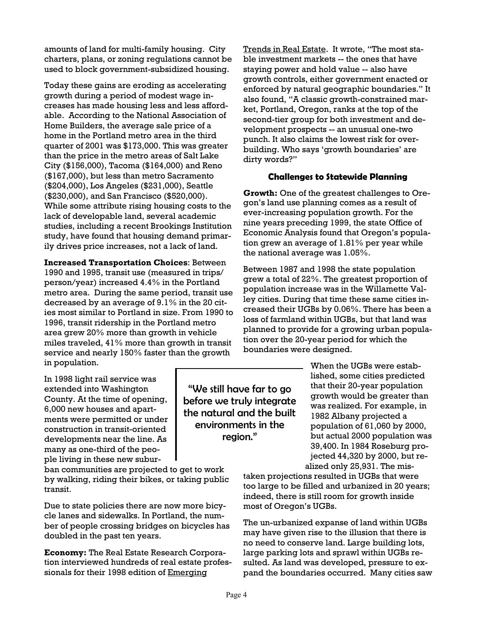amounts of land for multi-family housing. City charters, plans, or zoning regulations cannot be used to block government-subsidized housing.

Today these gains are eroding as accelerating growth during a period of modest wage increases has made housing less and less affordable. According to the National Association of Home Builders, the average sale price of a home in the Portland metro area in the third quarter of 2001 was \$173,000. This was greater than the price in the metro areas of Salt Lake City (\$156,000), Tacoma (\$164,000) and Reno (\$167,000), but less than metro Sacramento (\$204,000), Los Angeles (\$231,000), Seattle (\$230,000), and San Francisco (\$520,000). While some attribute rising housing costs to the lack of developable land, several academic studies, including a recent Brookings Institution study, have found that housing demand primarily drives price increases, not a lack of land.

**Increased Transportation Choices**: Between

1990 and 1995, transit use (measured in trips/ person/year) increased 4.4% in the Portland metro area. During the same period, transit use decreased by an average of 9.1% in the 20 cities most similar to Portland in size. From 1990 to 1996, transit ridership in the Portland metro area grew 20% more than growth in vehicle miles traveled, 41% more than growth in transit service and nearly 150% faster than the growth in population.

Trends in Real Estate. It wrote, "The most stable investment markets -- the ones that have staying power and hold value -- also have growth controls, either government enacted or enforced by natural geographic boundaries." It also found, "A classic growth-constrained market, Portland, Oregon, ranks at the top of the second-tier group for both investment and development prospects -- an unusual one-two punch. It also claims the lowest risk for overbuilding. Who says 'growth boundaries' are dirty words?"

### **Challenges to Statewide Planning**

**Growth:** One of the greatest challenges to Oregon's land use planning comes as a result of ever-increasing population growth. For the nine years preceding 1999, the state Office of Economic Analysis found that Oregon's population grew an average of 1.81% per year while the national average was 1.05%.

Between 1987 and 1998 the state population grew a total of 22%. The greatest proportion of population increase was in the Willamette Valley cities. During that time these same cities increased their UGBs by 0.06%. There has been a loss of farmland within UGBs, but that land was planned to provide for a growing urban population over the 20-year period for which the boundaries were designed.

In 1998 light rail service was extended into Washington County. At the time of opening, 6,000 new houses and apartments were permitted or under construction in transit-oriented developments near the line. As many as one-third of the people living in these new subur-

ban communities are projected to get to work by walking, riding their bikes, or taking public transit.

Due to state policies there are now more bicycle lanes and sidewalks. In Portland, the number of people crossing bridges on bicycles has doubled in the past ten years.

**Economy:** The Real Estate Research Corporation interviewed hundreds of real estate professionals for their 1998 edition of Emerging

"We still have far to go before we truly integrate the natural and the built environments in the region."

When the UGBs were established, some cities predicted that their 20-year population growth would be greater than was realized. For example, in 1982 Albany projected a population of 61,060 by 2000, but actual 2000 population was 39,400. In 1984 Roseburg projected 44,320 by 2000, but realized only 25,931. The mis-

taken projections resulted in UGBs that were too large to be filled and urbanized in 20 years; indeed, there is still room for growth inside most of Oregon's UGBs.

The un-urbanized expanse of land within UGBs may have given rise to the illusion that there is no need to conserve land. Large building lots, large parking lots and sprawl within UGBs resulted. As land was developed, pressure to expand the boundaries occurred. Many cities saw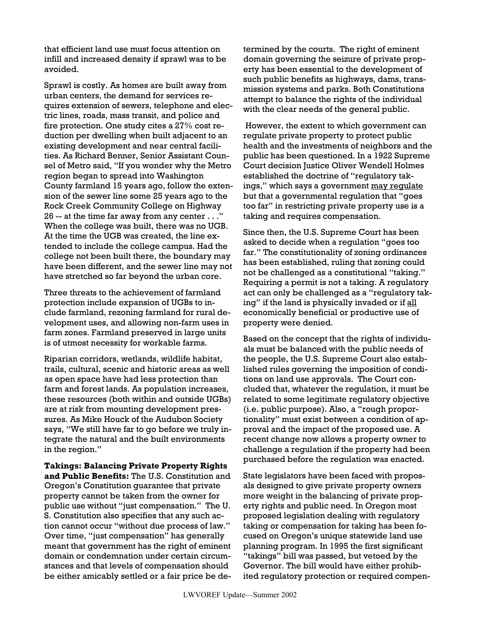that efficient land use must focus attention on infill and increased density if sprawl was to be avoided.

Sprawl is costly. As homes are built away from urban centers, the demand for services requires extension of sewers, telephone and electric lines, roads, mass transit, and police and fire protection. One study cites a 27% cost reduction per dwelling when built adjacent to an existing development and near central facilities. As Richard Benner, Senior Assistant Counsel of Metro said, "If you wonder why the Metro region began to spread into Washington County farmland 15 years ago, follow the extension of the sewer line some 25 years ago to the Rock Creek Community College on Highway 26 -- at the time far away from any center . . ." When the college was built, there was no UGB. At the time the UGB was created, the line extended to include the college campus. Had the college not been built there, the boundary may have been different, and the sewer line may not have stretched so far beyond the urban core.

Three threats to the achievement of farmland protection include expansion of UGBs to include farmland, rezoning farmland for rural development uses, and allowing non-farm uses in farm zones. Farmland preserved in large units is of utmost necessity for workable farms.

Riparian corridors, wetlands, wildlife habitat, trails, cultural, scenic and historic areas as well as open space have had less protection than farm and forest lands. As population increases, these resources (both within and outside UGBs) are at risk from mounting development pressures. As Mike Houck of the Audubon Society says, "We still have far to go before we truly integrate the natural and the built environments in the region."

**Takings: Balancing Private Property Rights and Public Benefits:** The U.S. Constitution and Oregon's Constitution guarantee that private property cannot be taken from the owner for public use without "just compensation." The U. S. Constitution also specifies that any such action cannot occur "without due process of law." Over time, "just compensation" has generally meant that government has the right of eminent domain or condemnation under certain circumstances and that levels of compensation should be either amicably settled or a fair price be determined by the courts. The right of eminent domain governing the seizure of private property has been essential to the development of such public benefits as highways, dams, transmission systems and parks. Both Constitutions attempt to balance the rights of the individual with the clear needs of the general public.

 However, the extent to which government can regulate private property to protect public health and the investments of neighbors and the public has been questioned. In a 1922 Supreme Court decision Justice Oliver Wendell Holmes established the doctrine of "regulatory takings," which says a government may regulate but that a governmental regulation that "goes too far" in restricting private property use is a taking and requires compensation.

Since then, the U.S. Supreme Court has been asked to decide when a regulation "goes too far." The constitutionality of zoning ordinances has been established, ruling that zoning could not be challenged as a constitutional "taking." Requiring a permit is not a taking. A regulatory act can only be challenged as a "regulatory taking" if the land is physically invaded or if all economically beneficial or productive use of property were denied.

Based on the concept that the rights of individuals must be balanced with the public needs of the people, the U.S. Supreme Court also established rules governing the imposition of conditions on land use approvals. The Court concluded that, whatever the regulation, it must be related to some legitimate regulatory objective (i.e. public purpose). Also, a "rough proportionality" must exist between a condition of approval and the impact of the proposed use. A recent change now allows a property owner to challenge a regulation if the property had been purchased before the regulation was enacted.

State legislators have been faced with proposals designed to give private property owners more weight in the balancing of private property rights and public need. In Oregon most proposed legislation dealing with regulatory taking or compensation for taking has been focused on Oregon's unique statewide land use planning program. In 1995 the first significant "takings" bill was passed, but vetoed by the Governor. The bill would have either prohibited regulatory protection or required compen-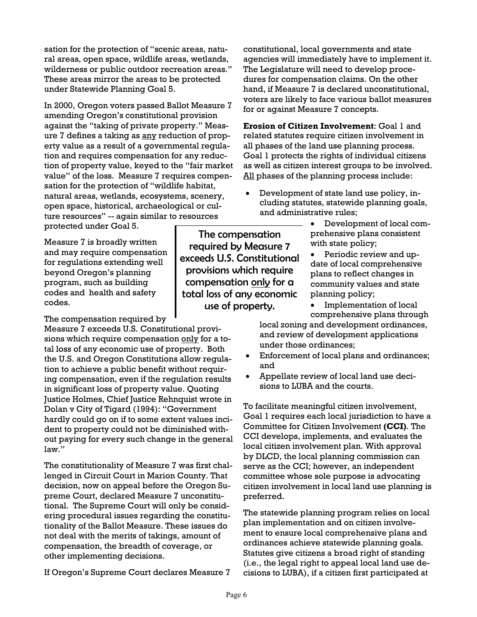sation for the protection of "scenic areas, natural areas, open space, wildlife areas, wetlands, wilderness or public outdoor recreation areas." These areas mirror the areas to be protected under Statewide Planning Goal 5.

In 2000, Oregon voters passed Ballot Measure 7 amending Oregon's constitutional provision against the "taking of private property." Measure 7 defines a taking as any reduction of property value as a result of a governmental regulation and requires compensation for any reduction of property value, keyed to the "fair market value" of the loss. Measure 7 requires compensation for the protection of "wildlife habitat, natural areas, wetlands, ecosystems, scenery, open space, historical, archaeological or culture resources" -- again similar to resources protected under Goal 5.

Measure 7 is broadly written and may require compensation for regulations extending well beyond Oregon's planning program, such as building codes and health and safety codes.

The compensation required by

Measure 7 exceeds U.S. Constitutional provisions which require compensation only for a total loss of any economic use of property. Both the U.S. and Oregon Constitutions allow regulation to achieve a public benefit without requiring compensation, even if the regulation results in significant loss of property value. Quoting Justice Holmes, Chief Justice Rehnquist wrote in Dolan v City of Tigard (1994): "Government hardly could go on if to some extent values incident to property could not be diminished without paying for every such change in the general law."

The constitutionality of Measure 7 was first challenged in Circuit Court in Marion County. That decision, now on appeal before the Oregon Supreme Court, declared Measure 7 unconstitutional. The Supreme Court will only be considering procedural issues regarding the constitutionality of the Ballot Measure. These issues do not deal with the merits of takings, amount of compensation, the breadth of coverage, or other implementing decisions.

If Oregon's Supreme Court declares Measure 7

The compensation required by Measure 7 exceeds U.S. Constitutional provisions which require compensation only for a total loss of any economic use of property.

constitutional, local governments and state agencies will immediately have to implement it. The Legislature will need to develop procedures for compensation claims. On the other hand, if Measure 7 is declared unconstitutional, voters are likely to face various ballot measures for or against Measure 7 concepts.

**Erosion of Citizen Involvement**: Goal 1 and related statutes require citizen involvement in all phases of the land use planning process. Goal 1 protects the rights of individual citizens as well as citizen interest groups to be involved. All phases of the planning process include:

- Development of state land use policy, including statutes, statewide planning goals, and administrative rules;
	- Development of local comprehensive plans consistent with state policy;
	- Periodic review and update of local comprehensive plans to reflect changes in community values and state planning policy;
	- Implementation of local comprehensive plans through

local zoning and development ordinances, and review of development applications under those ordinances;

- Enforcement of local plans and ordinances; and
- Appellate review of local land use decisions to LUBA and the courts.

To facilitate meaningful citizen involvement, Goal 1 requires each local jurisdiction to have a Committee for Citizen Involvement **(CCI)**. The CCI develops, implements, and evaluates the local citizen involvement plan. With approval by DLCD, the local planning commission can serve as the CCI; however, an independent committee whose sole purpose is advocating citizen involvement in local land use planning is preferred.

The statewide planning program relies on local plan implementation and on citizen involvement to ensure local comprehensive plans and ordinances achieve statewide planning goals. Statutes give citizens a broad right of standing (i.e., the legal right to appeal local land use decisions to LUBA), if a citizen first participated at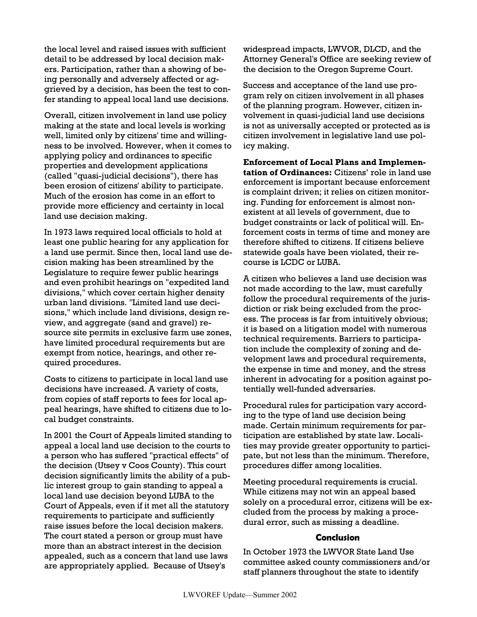the local level and raised issues with sufficient detail to be addressed by local decision makers. Participation, rather than a showing of being personally and adversely affected or aggrieved by a decision, has been the test to confer standing to appeal local land use decisions.

Overall, citizen involvement in land use policy making at the state and local levels is working well, limited only by citizens' time and willingness to be involved. However, when it comes to applying policy and ordinances to specific properties and development applications (called "quasi-judicial decisions"), there has been erosion of citizens' ability to participate. Much of the erosion has come in an effort to provide more efficiency and certainty in local land use decision making.

In 1973 laws required local officials to hold at least one public hearing for any application for a land use permit. Since then, local land use decision making has been streamlined by the Legislature to require fewer public hearings and even prohibit hearings on "expedited land divisions," which cover certain higher density urban land divisions. "Limited land use decisions," which include land divisions, design review, and aggregate (sand and gravel) resource site permits in exclusive farm use zones, have limited procedural requirements but are exempt from notice, hearings, and other required procedures.

Costs to citizens to participate in local land use decisions have increased. A variety of costs, from copies of staff reports to fees for local appeal hearings, have shifted to citizens due to local budget constraints.

In 2001 the Court of Appeals limited standing to appeal a local land use decision to the courts to a person who has suffered "practical effects" of the decision (Utsey v Coos County). This court decision significantly limits the ability of a public interest group to gain standing to appeal a local land use decision beyond LUBA to the Court of Appeals, even if it met all the statutory requirements to participate and sufficiently raise issues before the local decision makers. The court stated a person or group must have more than an abstract interest in the decision appealed, such as a concern that land use laws are appropriately applied. Because of Utsey's

widespread impacts, LWVOR, DLCD, and the Attorney General's Office are seeking review of the decision to the Oregon Supreme Court.

Success and acceptance of the land use program rely on citizen involvement in all phases of the planning program. However, citizen involvement in quasi-judicial land use decisions is not as universally accepted or protected as is citizen involvement in legislative land use policy making.

**Enforcement of Local Plans and Implementation of Ordinances:** Citizens' role in land use enforcement is important because enforcement is complaint driven; it relies on citizen monitoring. Funding for enforcement is almost nonexistent at all levels of government, due to budget constraints or lack of political will. Enforcement costs in terms of time and money are therefore shifted to citizens. If citizens believe statewide goals have been violated, their recourse is LCDC or LUBA.

A citizen who believes a land use decision was not made according to the law, must carefully follow the procedural requirements of the jurisdiction or risk being excluded from the process. The process is far from intuitively obvious; it is based on a litigation model with numerous technical requirements. Barriers to participation include the complexity of zoning and development laws and procedural requirements, the expense in time and money, and the stress inherent in advocating for a position against potentially well-funded adversaries.

Procedural rules for participation vary according to the type of land use decision being made. Certain minimum requirements for participation are established by state law. Localities may provide greater opportunity to participate, but not less than the minimum. Therefore, procedures differ among localities.

Meeting procedural requirements is crucial. While citizens may not win an appeal based solely on a procedural error, citizens will be excluded from the process by making a procedural error, such as missing a deadline.

#### **Conclusion**

In October 1973 the LWVOR State Land Use committee asked county commissioners and/or staff planners throughout the state to identify